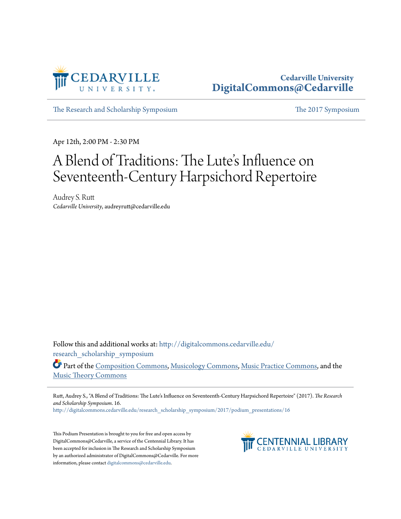

### **Cedarville University [DigitalCommons@Cedarville](http://digitalcommons.cedarville.edu?utm_source=digitalcommons.cedarville.edu%2Fresearch_scholarship_symposium%2F2017%2Fpodium_presentations%2F16&utm_medium=PDF&utm_campaign=PDFCoverPages)**

[The Research and Scholarship Symposium](http://digitalcommons.cedarville.edu/research_scholarship_symposium?utm_source=digitalcommons.cedarville.edu%2Fresearch_scholarship_symposium%2F2017%2Fpodium_presentations%2F16&utm_medium=PDF&utm_campaign=PDFCoverPages) [The 2017 Symposium](http://digitalcommons.cedarville.edu/research_scholarship_symposium/2017?utm_source=digitalcommons.cedarville.edu%2Fresearch_scholarship_symposium%2F2017%2Fpodium_presentations%2F16&utm_medium=PDF&utm_campaign=PDFCoverPages)

Apr 12th, 2:00 PM - 2:30 PM

# A Blend of Traditions: The Lute 's Influence on Seventeenth-Century Harpsichord Repertoire

Audrey S. Rutt *Cedarville University*, audreyrutt@cedarville.edu

Follow this and additional works at: [http://digitalcommons.cedarville.edu/](http://digitalcommons.cedarville.edu/research_scholarship_symposium?utm_source=digitalcommons.cedarville.edu%2Fresearch_scholarship_symposium%2F2017%2Fpodium_presentations%2F16&utm_medium=PDF&utm_campaign=PDFCoverPages) [research\\_scholarship\\_symposium](http://digitalcommons.cedarville.edu/research_scholarship_symposium?utm_source=digitalcommons.cedarville.edu%2Fresearch_scholarship_symposium%2F2017%2Fpodium_presentations%2F16&utm_medium=PDF&utm_campaign=PDFCoverPages)

Part of the [Composition Commons,](http://network.bepress.com/hgg/discipline/519?utm_source=digitalcommons.cedarville.edu%2Fresearch_scholarship_symposium%2F2017%2Fpodium_presentations%2F16&utm_medium=PDF&utm_campaign=PDFCoverPages) [Musicology Commons](http://network.bepress.com/hgg/discipline/521?utm_source=digitalcommons.cedarville.edu%2Fresearch_scholarship_symposium%2F2017%2Fpodium_presentations%2F16&utm_medium=PDF&utm_campaign=PDFCoverPages), [Music Practice Commons](http://network.bepress.com/hgg/discipline/523?utm_source=digitalcommons.cedarville.edu%2Fresearch_scholarship_symposium%2F2017%2Fpodium_presentations%2F16&utm_medium=PDF&utm_campaign=PDFCoverPages), and the [Music Theory Commons](http://network.bepress.com/hgg/discipline/522?utm_source=digitalcommons.cedarville.edu%2Fresearch_scholarship_symposium%2F2017%2Fpodium_presentations%2F16&utm_medium=PDF&utm_campaign=PDFCoverPages)

Rutt, Audrey S., "A Blend of Traditions: The Lute's Influence on Seventeenth-Century Harpsichord Repertoire" (2017). *The Research and Scholarship Symposium*. 16.

[http://digitalcommons.cedarville.edu/research\\_scholarship\\_symposium/2017/podium\\_presentations/16](http://digitalcommons.cedarville.edu/research_scholarship_symposium/2017/podium_presentations/16?utm_source=digitalcommons.cedarville.edu%2Fresearch_scholarship_symposium%2F2017%2Fpodium_presentations%2F16&utm_medium=PDF&utm_campaign=PDFCoverPages)

This Podium Presentation is brought to you for free and open access by DigitalCommons@Cedarville, a service of the Centennial Library. It has been accepted for inclusion in The Research and Scholarship Symposium by an authorized administrator of DigitalCommons@Cedarville. For more information, please contact [digitalcommons@cedarville.edu.](mailto:digitalcommons@cedarville.edu)

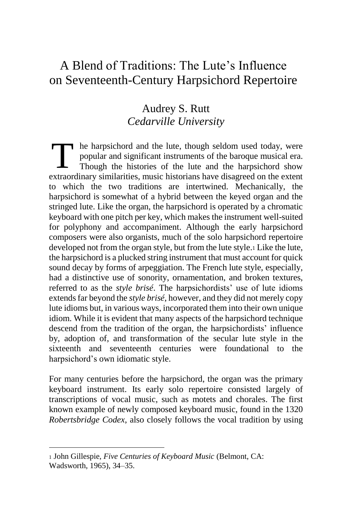## A Blend of Traditions: The Lute's Influence on Seventeenth-Century Harpsichord Repertoire

### Audrey S. Rutt *Cedarville University*

he harpsichord and the lute, though seldom used today, were popular and significant instruments of the baroque musical era. Though the histories of the lute and the harpsichord show extraordinary similarities, music historians have disagreed on the extent to which the two traditions are intertwined. Mechanically, the harpsichord is somewhat of a hybrid between the keyed organ and the stringed lute. Like the organ, the harpsichord is operated by a chromatic keyboard with one pitch per key, which makes the instrument well-suited for polyphony and accompaniment. Although the early harpsichord composers were also organists, much of the solo harpsichord repertoire developed not from the organ style, but from the lute style.<sup>1</sup> Like the lute, the harpsichord is a plucked string instrument that must account for quick sound decay by forms of arpeggiation. The French lute style, especially, had a distinctive use of sonority, ornamentation, and broken textures, referred to as the *style brisé*. The harpsichordists' use of lute idioms extends far beyond the *style brisé*, however, and they did not merely copy lute idioms but, in various ways, incorporated them into their own unique idiom. While it is evident that many aspects of the harpsichord technique descend from the tradition of the organ, the harpsichordists' influence by, adoption of, and transformation of the secular lute style in the sixteenth and seventeenth centuries were foundational to the harpsichord's own idiomatic style. T

For many centuries before the harpsichord, the organ was the primary keyboard instrument. Its early solo repertoire consisted largely of transcriptions of vocal music, such as motets and chorales. The first known example of newly composed keyboard music, found in the 1320 *Robertsbridge Codex*, also closely follows the vocal tradition by using

<sup>1</sup> John Gillespie, *Five Centuries of Keyboard Music* (Belmont, CA: Wadsworth, 1965), 34–35.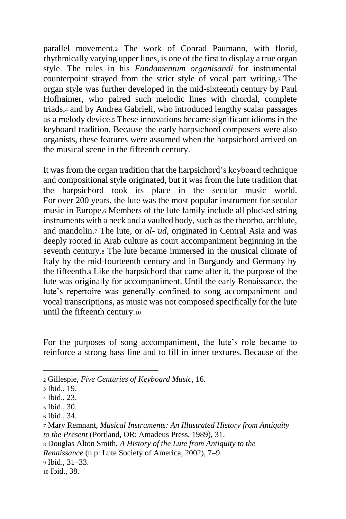parallel movement*.*<sup>2</sup> The work of Conrad Paumann, with florid, rhythmically varying upper lines, is one of the first to display a true organ style. The rules in his *Fundamentum organisandi* for instrumental counterpoint strayed from the strict style of vocal part writing.<sup>3</sup> The organ style was further developed in the mid-sixteenth century by Paul Hofhaimer, who paired such melodic lines with chordal, complete triads,<sup>4</sup> and by Andrea Gabrieli, who introduced lengthy scalar passages as a melody device.<sup>5</sup> These innovations became significant idioms in the keyboard tradition. Because the early harpsichord composers were also organists, these features were assumed when the harpsichord arrived on the musical scene in the fifteenth century.

It was from the organ tradition that the harpsichord's keyboard technique and compositional style originated, but it was from the lute tradition that the harpsichord took its place in the secular music world. For over 200 years, the lute was the most popular instrument for secular music in Europe.<sup>6</sup> Members of the lute family include all plucked string instruments with a neck and a vaulted body, such as the theorbo, archlute, and mandolin.<sup>7</sup> The lute, or *al-'ud,* originated in Central Asia and was deeply rooted in Arab culture as court accompaniment beginning in the seventh century.<sup>8</sup> The lute became immersed in the musical climate of Italy by the mid-fourteenth century and in Burgundy and Germany by the fifteenth.<sup>9</sup> Like the harpsichord that came after it, the purpose of the lute was originally for accompaniment. Until the early Renaissance, the lute's repertoire was generally confined to song accompaniment and vocal transcriptions, as music was not composed specifically for the lute until the fifteenth century.<sup>10</sup>

For the purposes of song accompaniment, the lute's role became to reinforce a strong bass line and to fill in inner textures. Because of the

l

<sup>9</sup> Ibid., 31–33.

<sup>2</sup> Gillespie, *Five Centuries of Keyboard Music*, 16.

<sup>3</sup> Ibid., 19.

<sup>4</sup> Ibid., 23.

<sup>5</sup> Ibid., 30.

<sup>6</sup> Ibid., 34.

<sup>7</sup> Mary Remnant, *Musical Instruments: An Illustrated History from Antiquity to the Present* (Portland, OR: Amadeus Press, 1989), 31.

<sup>8</sup> Douglas Alton Smith, *A History of the Lute from Antiquity to the* 

*Renaissance* (n.p: Lute Society of America, 2002), 7–9.

<sup>10</sup> Ibid., 38.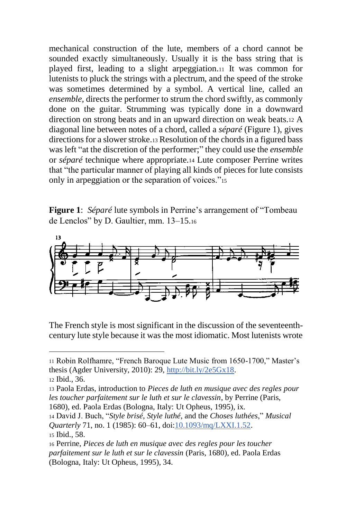mechanical construction of the lute, members of a chord cannot be sounded exactly simultaneously. Usually it is the bass string that is played first, leading to a slight arpeggiation.<sup>11</sup> It was common for lutenists to pluck the strings with a plectrum, and the speed of the stroke was sometimes determined by a symbol. A vertical line, called an *ensemble,* directs the performer to strum the chord swiftly, as commonly done on the guitar. Strumming was typically done in a downward direction on strong beats and in an upward direction on weak beats.<sup>12</sup> A diagonal line between notes of a chord, called a *séparé* (Figure 1), gives directions for a slower stroke.<sup>13</sup> Resolution of the chords in a figured bass was left "at the discretion of the performer;" they could use the *ensemble* or *séparé* technique where appropriate*.*<sup>14</sup> Lute composer Perrine writes that "the particular manner of playing all kinds of pieces for lute consists only in arpeggiation or the separation of voices."<sup>15</sup>

**Figure 1**: *Séparé* lute symbols in Perrine's arrangement of "Tombeau de Lenclos" by D. Gaultier, mm. 13–15.<sup>16</sup>



The French style is most significant in the discussion of the seventeenthcentury lute style because it was the most idiomatic. Most lutenists wrote

 $\overline{\phantom{a}}$ 

1680), ed. Paola Erdas (Bologna, Italy: Ut Opheus, 1995), ix.

<sup>11</sup> Robin Rolfhamre, "French Baroque Lute Music from 1650-1700," Master's thesis (Agder University, 2010): 29, [http://bit.ly/2e5Gx18.](http://bit.ly/2e5Gx18)

<sup>12</sup> Ibid., 36.

<sup>13</sup> Paola Erdas, introduction to *Pieces de luth en musique avec des regles pour les toucher parfaitement sur le luth et sur le clavessin*, by Perrine (Paris,

<sup>14</sup> David J. Buch, "*Style brisé*, *Style luthé*, and the *Choses luthées*," *Musical Quarterly* 71, no. 1 (1985): 60–61, doi[:10.1093/mq/LXXI.1.52.](https://doi.org/10.1093/mq/LXXI.1.52) <sup>15</sup> Ibid., 58.

<sup>16</sup> Perrine, *Pieces de luth en musique avec des regles pour les toucher parfaitement sur le luth et sur le clavessin* (Paris, 1680), ed. Paola Erdas (Bologna, Italy: Ut Opheus, 1995), 34.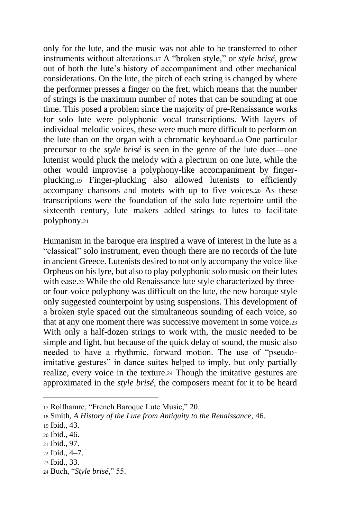only for the lute, and the music was not able to be transferred to other instruments without alterations.<sup>17</sup> A "broken style," or *style brisé*, grew out of both the lute's history of accompaniment and other mechanical considerations. On the lute, the pitch of each string is changed by where the performer presses a finger on the fret, which means that the number of strings is the maximum number of notes that can be sounding at one time. This posed a problem since the majority of pre-Renaissance works for solo lute were polyphonic vocal transcriptions. With layers of individual melodic voices, these were much more difficult to perform on the lute than on the organ with a chromatic keyboard.<sup>18</sup> One particular precursor to the *style brisé* is seen in the genre of the lute duet—one lutenist would pluck the melody with a plectrum on one lute, while the other would improvise a polyphony-like accompaniment by fingerplucking.<sup>19</sup> Finger-plucking also allowed lutenists to efficiently accompany chansons and motets with up to five voices.<sup>20</sup> As these transcriptions were the foundation of the solo lute repertoire until the sixteenth century, lute makers added strings to lutes to facilitate polyphony.<sup>21</sup>

Humanism in the baroque era inspired a wave of interest in the lute as a "classical" solo instrument, even though there are no records of the lute in ancient Greece. Lutenists desired to not only accompany the voice like Orpheus on his lyre, but also to play polyphonic solo music on their lutes with ease.<sub>22</sub> While the old Renaissance lute style characterized by threeor four-voice polyphony was difficult on the lute, the new baroque style only suggested counterpoint by using suspensions. This development of a broken style spaced out the simultaneous sounding of each voice, so that at any one moment there was successive movement in some voice.<sup>23</sup> With only a half-dozen strings to work with, the music needed to be simple and light, but because of the quick delay of sound, the music also needed to have a rhythmic, forward motion. The use of "pseudoimitative gestures" in dance suites helped to imply, but only partially realize, every voice in the texture.<sup>24</sup> Though the imitative gestures are approximated in the *style brisé*, the composers meant for it to be heard

<sup>17</sup> Rolfhamre, "French Baroque Lute Music," 20.

<sup>18</sup> Smith, *A History of the Lute from Antiquity to the Renaissance*, 46.

<sup>19</sup> Ibid., 43.

<sup>20</sup> Ibid., 46.

<sup>21</sup> Ibid., 97.

<sup>22</sup> Ibid., 4–7.

<sup>23</sup> Ibid., 33.

<sup>24</sup> Buch, "*Style brisé*," 55.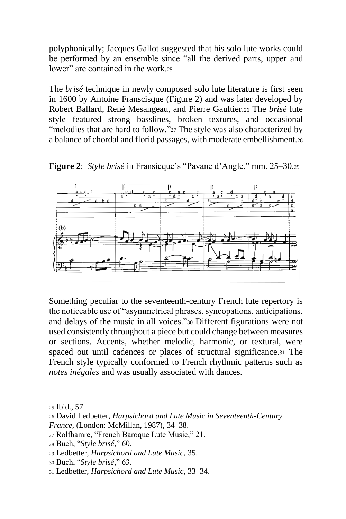polyphonically; Jacques Gallot suggested that his solo lute works could be performed by an ensemble since "all the derived parts, upper and lower" are contained in the work.25

The *brisé* technique in newly composed solo lute literature is first seen in 1600 by Antoine Franscisque (Figure 2) and was later developed by Robert Ballard, René Mesangeau, and Pierre Gaultier.<sup>26</sup> The *brisé* lute style featured strong basslines, broken textures, and occasional "melodies that are hard to follow."<sup>27</sup> The style was also characterized by a balance of chordal and florid passages, with moderate embellishment.<sup>28</sup>

**Figure 2**: *Style brisé* in Fransicque's "Pavane d'Angle," mm. 25–30.<sup>29</sup>



Something peculiar to the seventeenth-century French lute repertory is the noticeable use of "asymmetrical phrases, syncopations, anticipations, and delays of the music in all voices."<sup>30</sup> Different figurations were not used consistently throughout a piece but could change between measures or sections. Accents, whether melodic, harmonic, or textural, were spaced out until cadences or places of structural significance.<sup>31</sup> The French style typically conformed to French rhythmic patterns such as *notes inégales* and was usually associated with dances.

<sup>25</sup> Ibid., 57.

<sup>26</sup> David Ledbetter, *Harpsichord and Lute Music in Seventeenth-Century France*, (London: McMillan, 1987), 34–38.

<sup>27</sup> Rolfhamre, "French Baroque Lute Music," 21.

<sup>28</sup> Buch, "*Style brisé*," 60.

<sup>29</sup> Ledbetter, *Harpsichord and Lute Music*, 35.

<sup>30</sup> Buch, "*Style brisé*," 63.

<sup>31</sup> Ledbetter, *Harpsichord and Lute Music*, 33–34.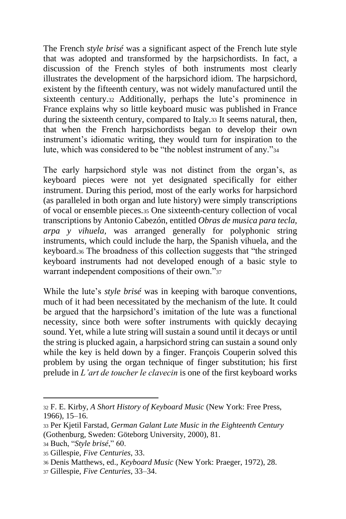The French *style brisé* was a significant aspect of the French lute style that was adopted and transformed by the harpsichordists. In fact, a discussion of the French styles of both instruments most clearly illustrates the development of the harpsichord idiom. The harpsichord, existent by the fifteenth century, was not widely manufactured until the sixteenth century.<sup>32</sup> Additionally, perhaps the lute's prominence in France explains why so little keyboard music was published in France during the sixteenth century, compared to Italy.<sup>33</sup> It seems natural, then, that when the French harpsichordists began to develop their own instrument's idiomatic writing, they would turn for inspiration to the lute, which was considered to be "the noblest instrument of any."<sup>34</sup>

The early harpsichord style was not distinct from the organ's, as keyboard pieces were not yet designated specifically for either instrument. During this period, most of the early works for harpsichord (as paralleled in both organ and lute history) were simply transcriptions of vocal or ensemble pieces.<sup>35</sup> One sixteenth-century collection of vocal transcriptions by Antonio Cabezón, entitled *Obras de musica para tecla, arpa y vihuela,* was arranged generally for polyphonic string instruments, which could include the harp, the Spanish vihuela, and the keyboard.<sup>36</sup> The broadness of this collection suggests that "the stringed keyboard instruments had not developed enough of a basic style to warrant independent compositions of their own."<sup>37</sup>

While the lute's *style brisé* was in keeping with baroque conventions, much of it had been necessitated by the mechanism of the lute. It could be argued that the harpsichord's imitation of the lute was a functional necessity, since both were softer instruments with quickly decaying sound. Yet, while a lute string will sustain a sound until it decays or until the string is plucked again, a harpsichord string can sustain a sound only while the key is held down by a finger. François Couperin solved this problem by using the organ technique of finger substitution; his first prelude in *L'art de toucher le clavecin* is one of the first keyboard works

<sup>32</sup> F. E. Kirby, *A Short History of Keyboard Music* (New York: Free Press, 1966), 15–16.

<sup>33</sup> Per Kjetil Farstad, *German Galant Lute Music in the Eighteenth Century* (Gothenburg, Sweden: Göteborg University, 2000), 81.

<sup>34</sup> Buch, "*Style brisé*," 60.

<sup>35</sup> Gillespie, *Five Centuries*, 33.

<sup>36</sup> Denis Matthews, ed., *Keyboard Music* (New York: Praeger, 1972), 28.

<sup>37</sup> Gillespie, *Five Centuries*, 33–34.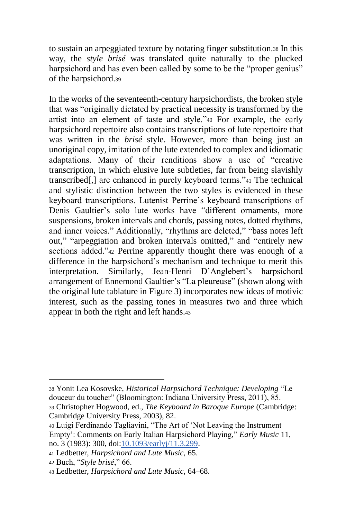to sustain an arpeggiated texture by notating finger substitution.<sup>38</sup> In this way, the *style brisé* was translated quite naturally to the plucked harpsichord and has even been called by some to be the "proper genius" of the harpsichord.<sup>39</sup>

In the works of the seventeenth-century harpsichordists, the broken style that was "originally dictated by practical necessity is transformed by the artist into an element of taste and style."<sup>40</sup> For example, the early harpsichord repertoire also contains transcriptions of lute repertoire that was written in the *brisé* style. However, more than being just an unoriginal copy, imitation of the lute extended to complex and idiomatic adaptations. Many of their renditions show a use of "creative transcription, in which elusive lute subtleties, far from being slavishly transcribed[,] are enhanced in purely keyboard terms."<sup>41</sup> The technical and stylistic distinction between the two styles is evidenced in these keyboard transcriptions. Lutenist Perrine's keyboard transcriptions of Denis Gaultier's solo lute works have "different ornaments, more suspensions, broken intervals and chords, passing notes, dotted rhythms, and inner voices." Additionally, "rhythms are deleted," "bass notes left out," "arpeggiation and broken intervals omitted," and "entirely new sections added."<sup>42</sup> Perrine apparently thought there was enough of a difference in the harpsichord's mechanism and technique to merit this interpretation. Similarly, Jean-Henri D'Anglebert's harpsichord arrangement of Ennemond Gaultier's "La pleureuse" (shown along with the original lute tablature in Figure 3) incorporates new ideas of motivic interest, such as the passing tones in measures two and three which appear in both the right and left hands.<sup>43</sup>

<sup>38</sup> Yonit Lea Kosovske, *Historical Harpsichord Technique: Developing* "Le douceur du toucher" (Bloomington: Indiana University Press, 2011), 85.

<sup>39</sup> Christopher Hogwood, ed., *The Keyboard in Baroque Europe* (Cambridge: Cambridge University Press, 2003), 82.

<sup>40</sup> Luigi Ferdinando Tagliavini, "The Art of 'Not Leaving the Instrument Empty': Comments on Early Italian Harpsichord Playing," *Early Music* 11, no. 3 (1983): 300, doi[:10.1093/earlyj/11.3.299.](https://doi.org/10.1093/earlyj/11.3.299)

<sup>41</sup> Ledbetter, *Harpsichord and Lute Music,* 65.

<sup>42</sup> Buch, "*Style brisé*," 66.

<sup>43</sup> Ledbetter, *Harpsichord and Lute Music*, 64–68.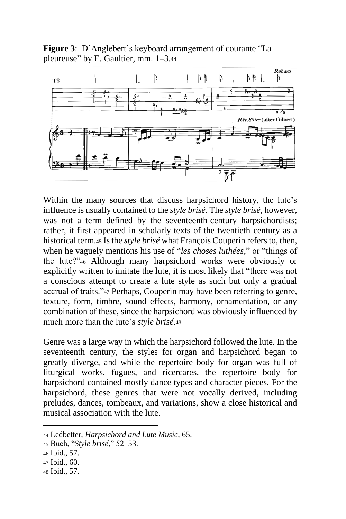**Figure 3**: D'Anglebert's keyboard arrangement of courante "La pleureuse" by E. Gaultier, mm. 1–3.<sup>44</sup>



Within the many sources that discuss harpsichord history, the lute's influence is usually contained to the *style brisé*. The *style brisé*, however, was not a term defined by the seventeenth-century harpsichordists; rather, it first appeared in scholarly texts of the twentieth century as a historical term.<sup>45</sup> Is the *style brisé* what François Couperin refers to, then, when he vaguely mentions his use of "*les choses luthées*," or "things of the lute?"<sup>46</sup> Although many harpsichord works were obviously or explicitly written to imitate the lute, it is most likely that "there was not a conscious attempt to create a lute style as such but only a gradual accrual of traits."<sup>47</sup> Perhaps, Couperin may have been referring to genre, texture, form, timbre, sound effects, harmony, ornamentation, or any combination of these, since the harpsichord was obviously influenced by much more than the lute's *style brisé*.<sup>48</sup>

Genre was a large way in which the harpsichord followed the lute. In the seventeenth century, the styles for organ and harpsichord began to greatly diverge, and while the repertoire body for organ was full of liturgical works, fugues, and ricercares, the repertoire body for harpsichord contained mostly dance types and character pieces. For the harpsichord, these genres that were not vocally derived, including preludes, dances, tombeaux, and variations, show a close historical and musical association with the lute.

l

<sup>44</sup> Ledbetter, *Harpsichord and Lute Music*, 65.

<sup>45</sup> Buch, "*Style brisé*," 52–53.

<sup>46</sup> Ibid., 57.

<sup>47</sup> Ibid., 60.

<sup>48</sup> Ibid., 57.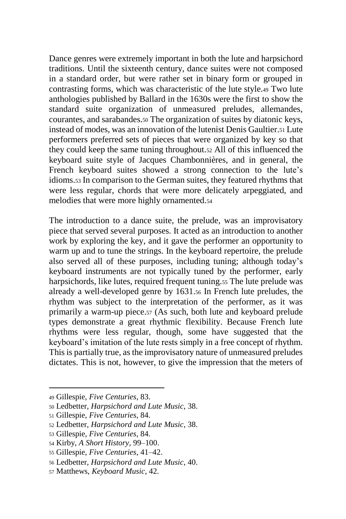Dance genres were extremely important in both the lute and harpsichord traditions. Until the sixteenth century, dance suites were not composed in a standard order, but were rather set in binary form or grouped in contrasting forms, which was characteristic of the lute style.<sup>49</sup> Two lute anthologies published by Ballard in the 1630s were the first to show the standard suite organization of unmeasured preludes, allemandes, courantes, and sarabandes.<sup>50</sup> The organization of suites by diatonic keys, instead of modes, was an innovation of the lutenist Denis Gaultier.<sup>51</sup> Lute performers preferred sets of pieces that were organized by key so that they could keep the same tuning throughout.<sup>52</sup> All of this influenced the keyboard suite style of Jacques Chambonnières, and in general, the French keyboard suites showed a strong connection to the lute's idioms.<sup>53</sup> In comparison to the German suites, they featured rhythms that were less regular, chords that were more delicately arpeggiated, and melodies that were more highly ornamented.<sup>54</sup>

The introduction to a dance suite, the prelude, was an improvisatory piece that served several purposes. It acted as an introduction to another work by exploring the key, and it gave the performer an opportunity to warm up and to tune the strings. In the keyboard repertoire, the prelude also served all of these purposes, including tuning; although today's keyboard instruments are not typically tuned by the performer, early harpsichords, like lutes, required frequent tuning.<sup>55</sup> The lute prelude was already a well-developed genre by 1631.<sup>56</sup> In French lute preludes, the rhythm was subject to the interpretation of the performer, as it was primarily a warm-up piece.<sup>57</sup> (As such, both lute and keyboard prelude types demonstrate a great rhythmic flexibility. Because French lute rhythms were less regular, though, some have suggested that the keyboard's imitation of the lute rests simply in a free concept of rhythm. This is partially true, as the improvisatory nature of unmeasured preludes dictates. This is not, however, to give the impression that the meters of

<sup>49</sup> Gillespie, *Five Centuries*, 83.

<sup>50</sup> Ledbetter, *Harpsichord and Lute Music*, 38.

<sup>51</sup> Gillespie, *Five Centuries*, 84.

<sup>52</sup> Ledbetter, *Harpsichord and Lute Music*, 38.

<sup>53</sup> Gillespie, *Five Centuries*, 84.

<sup>54</sup> Kirby, *A Short History*, 99–100.

<sup>55</sup> Gillespie, *Five Centuries*, 41–42.

<sup>56</sup> Ledbetter, *Harpsichord and Lute Music*, 40.

<sup>57</sup> Matthews, *Keyboard Music*, 42.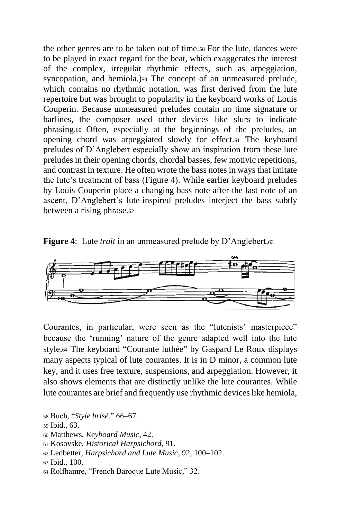the other genres are to be taken out of time.<sup>58</sup> For the lute, dances were to be played in exact regard for the beat, which exaggerates the interest of the complex, irregular rhythmic effects, such as arpeggiation, syncopation, and hemiola.)<sup>59</sup> The concept of an unmeasured prelude, which contains no rhythmic notation, was first derived from the lute repertoire but was brought to popularity in the keyboard works of Louis Couperin. Because unmeasured preludes contain no time signature or barlines, the composer used other devices like slurs to indicate phrasing.<sup>60</sup> Often, especially at the beginnings of the preludes, an opening chord was arpeggiated slowly for effect.<sup>61</sup> The keyboard preludes of D'Anglebert especially show an inspiration from these lute preludes in their opening chords, chordal basses, few motivic repetitions, and contrast in texture. He often wrote the bass notes in ways that imitate the lute's treatment of bass (Figure 4). While earlier keyboard preludes by Louis Couperin place a changing bass note after the last note of an ascent, D'Anglebert's lute-inspired preludes interject the bass subtly between a rising phrase.<sup>62</sup>

**Figure 4**: Lute *trait* in an unmeasured prelude by D'Anglebert.<sup>63</sup>



Courantes, in particular, were seen as the "lutenists' masterpiece" because the 'running' nature of the genre adapted well into the lute style.<sup>64</sup> The keyboard "Courante luthée" by Gaspard Le Roux displays many aspects typical of lute courantes. It is in D minor, a common lute key, and it uses free texture, suspensions, and arpeggiation. However, it also shows elements that are distinctly unlike the lute courantes. While lute courantes are brief and frequently use rhythmic devices like hemiola,

<sup>58</sup> Buch, "*Style brisé*," 66–67.

<sup>59</sup> Ibid., 63.

<sup>60</sup> Matthews, *Keyboard Music*, 42.

<sup>61</sup> Kosovske, *Historical Harpsichord*, 91.

<sup>62</sup> Ledbetter, *Harpsichord and Lute Music*, 92, 100–102.

<sup>63</sup> Ibid., 100.

<sup>64</sup> Rolfhamre, "French Baroque Lute Music," 32.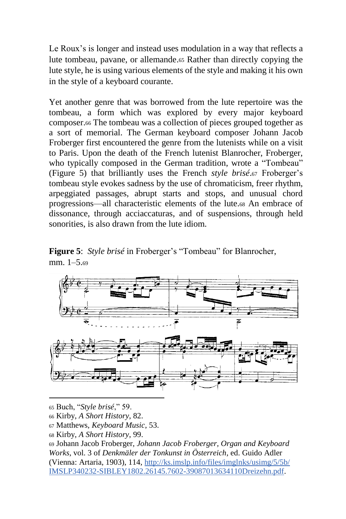Le Roux's is longer and instead uses modulation in a way that reflects a lute tombeau, pavane, or allemande.<sup>65</sup> Rather than directly copying the lute style, he is using various elements of the style and making it his own in the style of a keyboard courante.

Yet another genre that was borrowed from the lute repertoire was the tombeau, a form which was explored by every major keyboard composer.<sup>66</sup> The tombeau was a collection of pieces grouped together as a sort of memorial. The German keyboard composer Johann Jacob Froberger first encountered the genre from the lutenists while on a visit to Paris. Upon the death of the French lutenist Blanrocher, Froberger, who typically composed in the German tradition, wrote a "Tombeau" (Figure 5) that brilliantly uses the French *style brisé*.<sup>67</sup> Froberger's tombeau style evokes sadness by the use of chromaticism, freer rhythm, arpeggiated passages, abrupt starts and stops, and unusual chord progressions—all characteristic elements of the lute.<sup>68</sup> An embrace of dissonance, through acciaccaturas, and of suspensions, through held sonorities, is also drawn from the lute idiom.

**Figure 5**: *Style brisé* in Froberger's "Tombeau" for Blanrocher, mm. 1–5.<sup>69</sup>



<sup>65</sup> Buch, "*Style brisé*," 59.

<sup>66</sup> Kirby, *A Short History*, 82.

<sup>67</sup> Matthews, *Keyboard Music*, 53.

<sup>68</sup> Kirby, *A Short History*, 99.

<sup>69</sup> Johann Jacob Froberger, *Johann Jacob Froberger, Organ and Keyboard Works*, vol. 3 of *Denkmäler der Tonkunst in Österreich*, ed. Guido Adler (Vienna: Artaria, 1903), 114, [http://ks.imslp.info/files/imglnks/usimg/5/5b/](http://ks.imslp.info/files/imglnks/usimg/5/5b/IMSLP340232-SIBLEY1802.26145.7602-39087013634110Dreizehn.pdf) [IMSLP340232-SIBLEY1802.26145.7602-39087013634110Dreizehn.pdf.](http://ks.imslp.info/files/imglnks/usimg/5/5b/IMSLP340232-SIBLEY1802.26145.7602-39087013634110Dreizehn.pdf)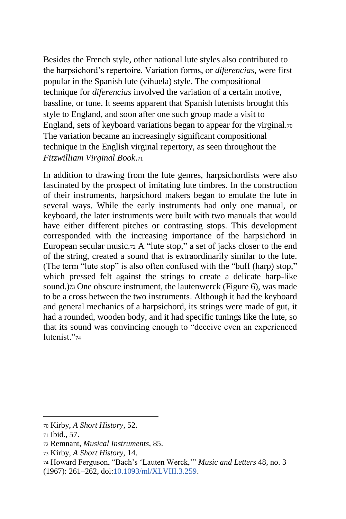Besides the French style, other national lute styles also contributed to the harpsichord's repertoire. Variation forms, or *diferencias*, were first popular in the Spanish lute (vihuela) style. The compositional technique for *diferencias* involved the variation of a certain motive, bassline, or tune. It seems apparent that Spanish lutenists brought this style to England, and soon after one such group made a visit to England, sets of keyboard variations began to appear for the virginal.<sup>70</sup> The variation became an increasingly significant compositional technique in the English virginal repertory, as seen throughout the *Fitzwilliam Virginal Book*.<sup>71</sup>

In addition to drawing from the lute genres, harpsichordists were also fascinated by the prospect of imitating lute timbres. In the construction of their instruments, harpsichord makers began to emulate the lute in several ways. While the early instruments had only one manual, or keyboard, the later instruments were built with two manuals that would have either different pitches or contrasting stops. This development corresponded with the increasing importance of the harpsichord in European secular music.<sup>72</sup> A "lute stop," a set of jacks closer to the end of the string, created a sound that is extraordinarily similar to the lute. (The term "lute stop" is also often confused with the "buff (harp) stop," which pressed felt against the strings to create a delicate harp-like sound.)73 One obscure instrument, the lautenwerck (Figure 6), was made to be a cross between the two instruments. Although it had the keyboard and general mechanics of a harpsichord, its strings were made of gut, it had a rounded, wooden body, and it had specific tunings like the lute, so that its sound was convincing enough to "deceive even an experienced lutenist."74

<sup>70</sup> Kirby, *A Short History*, 52.

<sup>71</sup> Ibid., 57.

<sup>72</sup> Remnant, *Musical Instruments*, 85.

<sup>73</sup> Kirby, *A Short History*, 14.

<sup>74</sup> Howard Ferguson, "Bach's 'Lauten Werck,'" *Music and Letters* 48, no. 3 (1967): 261–262, doi[:10.1093/ml/XLVIII.3.259.](https://doi.org/10.1093/ml/XLVIII.3.259)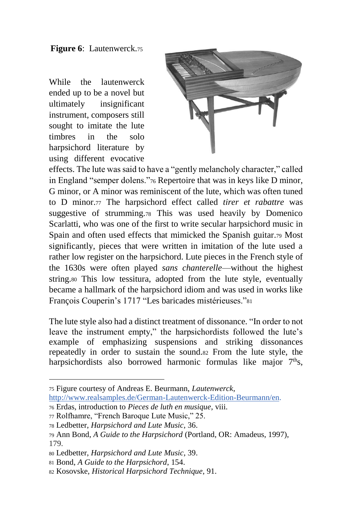**Figure 6**: Lautenwerck.<sup>75</sup>

While the lautenwerck ended up to be a novel but ultimately insignificant instrument, composers still sought to imitate the lute timbres in the solo harpsichord literature by using different evocative



effects. The lute was said to have a "gently melancholy character," called in England "semper dolens."<sup>76</sup> Repertoire that was in keys like D minor, G minor, or A minor was reminiscent of the lute, which was often tuned to D minor.<sup>77</sup> The harpsichord effect called *tirer et rabattre* was suggestive of strumming.<sup>78</sup> This was used heavily by Domenico Scarlatti, who was one of the first to write secular harpsichord music in Spain and often used effects that mimicked the Spanish guitar.<sup>79</sup> Most significantly, pieces that were written in imitation of the lute used a rather low register on the harpsichord. Lute pieces in the French style of the 1630s were often played *sans chanterelle*—without the highest string.<sup>80</sup> This low tessitura, adopted from the lute style, eventually became a hallmark of the harpsichord idiom and was used in works like François Couperin's 1717 "Les baricades mistérieuses."<sup>81</sup>

The lute style also had a distinct treatment of dissonance. "In order to not leave the instrument empty," the harpsichordists followed the lute's example of emphasizing suspensions and striking dissonances repeatedly in order to sustain the sound.<sup>82</sup> From the lute style, the harpsichordists also borrowed harmonic formulas like major 7<sup>th</sup>s,

<sup>75</sup> Figure courtesy of Andreas E. Beurmann, *Lautenwerck*,

<sup>76</sup> Erdas, introduction to *Pieces de luth en musique*, viii.

[http://www.realsamples.de/German-Lautenwerck-Edition-Beurmann/en.](http://www.realsamples.de/German-Lautenwerck-Edition-Beurmann/en)

<sup>77</sup> Rolfhamre, "French Baroque Lute Music," 25.

<sup>78</sup> Ledbetter, *Harpsichord and Lute Music*, 36.

<sup>79</sup> Ann Bond, *A Guide to the Harpsichord* (Portland, OR: Amadeus, 1997), 179.

<sup>80</sup> Ledbetter, *Harpsichord and Lute Music*, 39.

<sup>81</sup> Bond, *A Guide to the Harpsichord*, 154.

<sup>82</sup> Kosovske, *Historical Harpsichord Technique*, 91.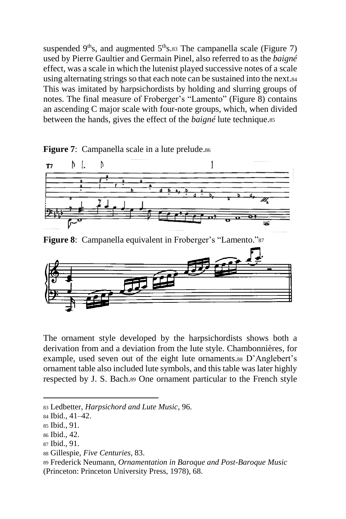suspended  $9<sup>th</sup>s$ , and augmented  $5<sup>th</sup>s$ .83 The campanella scale (Figure 7) used by Pierre Gaultier and Germain Pinel, also referred to as the *baigné*  effect, was a scale in which the lutenist played successive notes of a scale using alternating strings so that each note can be sustained into the next.<sup>84</sup> This was imitated by harpsichordists by holding and slurring groups of notes. The final measure of Froberger's "Lamento" (Figure 8) contains an ascending C major scale with four-note groups, which, when divided between the hands, gives the effect of the *baigné* lute technique.<sup>85</sup>



**Figure 7:** Campanella scale in a lute prelude.86

**Figure 8**: Campanella equivalent in Froberger's "Lamento."<sup>87</sup>



The ornament style developed by the harpsichordists shows both a derivation from and a deviation from the lute style. Chambonnières, for example, used seven out of the eight lute ornaments.<sup>88</sup> D'Anglebert's ornament table also included lute symbols, and this table was later highly respected by J. S. Bach.<sup>89</sup> One ornament particular to the French style

<sup>83</sup> Ledbetter*, Harpsichord and Lute Music*, 96.

<sup>84</sup> Ibid., 41–42.

<sup>85</sup> Ibid., 91.

<sup>86</sup> Ibid., 42.

<sup>87</sup> Ibid., 91.

<sup>88</sup> Gillespie, *Five Centuries*, 83.

<sup>89</sup> Frederick Neumann, *Ornamentation in Baroque and Post-Baroque Music* (Princeton: Princeton University Press, 1978), 68.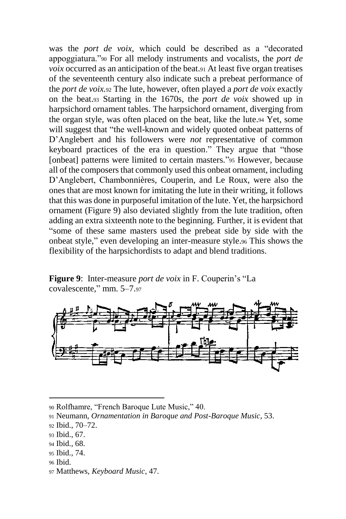was the *port de voix,* which could be described as a "decorated appoggiatura."<sup>90</sup> For all melody instruments and vocalists, the *port de voix* occurred as an anticipation of the beat.<sup>91</sup> At least five organ treatises of the seventeenth century also indicate such a prebeat performance of the *port de voix.*<sup>92</sup> The lute, however, often played a *port de voix* exactly on the beat.<sup>93</sup> Starting in the 1670s, the *port de voix* showed up in harpsichord ornament tables. The harpsichord ornament, diverging from the organ style, was often placed on the beat, like the lute.<sup>94</sup> Yet, some will suggest that "the well-known and widely quoted onbeat patterns of D'Anglebert and his followers were *not* representative of common keyboard practices of the era in question." They argue that "those [onbeat] patterns were limited to certain masters."<sup>95</sup> However, because all of the composers that commonly used this onbeat ornament, including D'Anglebert, Chambonnières, Couperin, and Le Roux, were also the ones that are most known for imitating the lute in their writing, it follows that this was done in purposeful imitation of the lute. Yet, the harpsichord ornament (Figure 9) also deviated slightly from the lute tradition, often adding an extra sixteenth note to the beginning. Further, it is evident that "some of these same masters used the prebeat side by side with the onbeat style," even developing an inter-measure style.<sup>96</sup> This shows the flexibility of the harpsichordists to adapt and blend traditions.

**Figure 9**: Inter-measure *port de voix* in F. Couperin's "La covalescente," mm. 5–7.<sup>97</sup>



- <sup>93</sup> Ibid., 67.
- <sup>94</sup> Ibid., 68.
- <sup>95</sup> Ibid., 74.
- <sup>96</sup> Ibid.

 $\overline{a}$ 

<sup>97</sup> Matthews, *Keyboard Music*, 47.

<sup>90</sup> Rolfhamre, "French Baroque Lute Music," 40.

<sup>91</sup> Neumann, *Ornamentation in Baroque and Post-Baroque Music*, 53.

<sup>92</sup> Ibid., 70–72.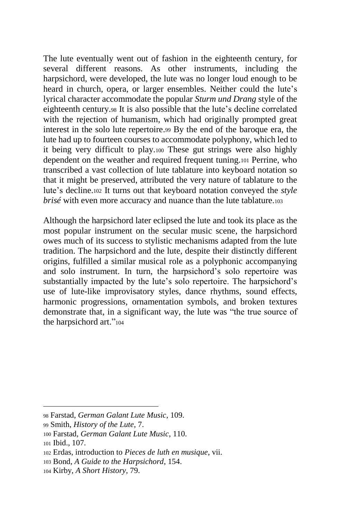The lute eventually went out of fashion in the eighteenth century, for several different reasons. As other instruments, including the harpsichord, were developed, the lute was no longer loud enough to be heard in church, opera, or larger ensembles. Neither could the lute's lyrical character accommodate the popular *Sturm und Drang* style of the eighteenth century.<sup>98</sup> It is also possible that the lute's decline correlated with the rejection of humanism, which had originally prompted great interest in the solo lute repertoire.<sup>99</sup> By the end of the baroque era, the lute had up to fourteen courses to accommodate polyphony, which led to it being very difficult to play.<sup>100</sup> These gut strings were also highly dependent on the weather and required frequent tuning.<sup>101</sup> Perrine, who transcribed a vast collection of lute tablature into keyboard notation so that it might be preserved, attributed the very nature of tablature to the lute's decline.<sup>102</sup> It turns out that keyboard notation conveyed the *style brisé* with even more accuracy and nuance than the lute tablature.<sup>103</sup>

Although the harpsichord later eclipsed the lute and took its place as the most popular instrument on the secular music scene, the harpsichord owes much of its success to stylistic mechanisms adapted from the lute tradition. The harpsichord and the lute, despite their distinctly different origins, fulfilled a similar musical role as a polyphonic accompanying and solo instrument. In turn, the harpsichord's solo repertoire was substantially impacted by the lute's solo repertoire. The harpsichord's use of lute-like improvisatory styles, dance rhythms, sound effects, harmonic progressions, ornamentation symbols, and broken textures demonstrate that, in a significant way, the lute was "the true source of the harpsichord art."<sup>104</sup>

<sup>98</sup> Farstad, *German Galant Lute Music*, 109.

<sup>99</sup> Smith, *History of the Lute*, 7.

<sup>100</sup> Farstad, *German Galant Lute Music*, 110.

<sup>101</sup> Ibid., 107.

<sup>102</sup> Erdas, introduction to *Pieces de luth en musique*, vii.

<sup>103</sup> Bond, *A Guide to the Harpsichord*, 154.

<sup>104</sup> Kirby, *A Short History*, 79.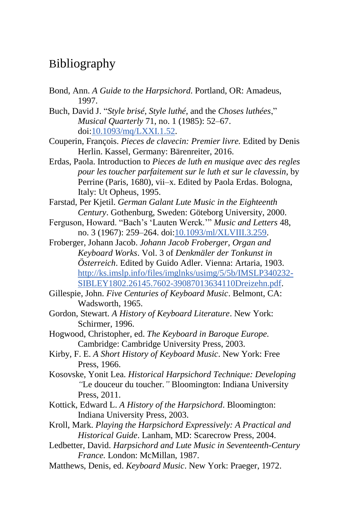## Bibliography

- Bond, Ann. *A Guide to the Harpsichord*. Portland, OR: Amadeus, 1997.
- Buch, David J. "*Style brisé*, *Style luthé*, and the *Choses luthées*," *Musical Quarterly* 71, no. 1 (1985): 52–67. doi[:10.1093/mq/LXXI.1.52.](https://doi.org/10.1093/mq/LXXI.1.52)
- Couperin, François. *Pieces de clavecin: Premier livre.* Edited by Denis Herlin. Kassel, Germany: Bärenreiter, 2016.
- Erdas, Paola. Introduction to *Pieces de luth en musique avec des regles pour les toucher parfaitement sur le luth et sur le clavessin*, by Perrine (Paris, 1680), vii–x. Edited by Paola Erdas. Bologna, Italy: Ut Opheus, 1995.
- Farstad, Per Kjetil. *German Galant Lute Music in the Eighteenth Century*. Gothenburg, Sweden: Göteborg University, 2000.
- Ferguson, Howard. "Bach's 'Lauten Werck.'" *Music and Letters* 48, no. 3 (1967): 259–264. doi[:10.1093/ml/XLVIII.3.259.](https://doi.org/10.1093/ml/XLVIII.3.259)
- Froberger, Johann Jacob. *Johann Jacob Froberger, Organ and Keyboard Works*. Vol. 3 of *Denkmäler der Tonkunst in Österreich*. Edited by Guido Adler. Vienna: Artaria, 1903. [http://ks.imslp.info/files/imglnks/usimg/5/5b/IMSLP340232-](http://ks.imslp.info/files/imglnks/usimg/5/5b/IMSLP340232-SIBLEY1802.26145.7602-39087013634110Dreizehn.pdf) [SIBLEY1802.26145.7602-39087013634110Dreizehn.pdf.](http://ks.imslp.info/files/imglnks/usimg/5/5b/IMSLP340232-SIBLEY1802.26145.7602-39087013634110Dreizehn.pdf)
- Gillespie, John. *Five Centuries of Keyboard Music*. Belmont, CA: Wadsworth, 1965.
- Gordon, Stewart. *A History of Keyboard Literature*. New York: Schirmer, 1996.
- Hogwood, Christopher, ed. *The Keyboard in Baroque Europe.* Cambridge: Cambridge University Press, 2003.
- Kirby, F. E. *A Short History of Keyboard Music*. New York: Free Press, 1966.
- Kosovske, Yonit Lea. *Historical Harpsichord Technique: Developing "*Le douceur du toucher*."* Bloomington: Indiana University Press, 2011.
- Kottick, Edward L. *A History of the Harpsichord*. Bloomington: Indiana University Press, 2003.
- Kroll, Mark. *Playing the Harpsichord Expressively: A Practical and Historical Guide*. Lanham, MD: Scarecrow Press, 2004.
- Ledbetter, David. *Harpsichord and Lute Music in Seventeenth-Century France.* London: McMillan, 1987.
- Matthews, Denis, ed. *Keyboard Music*. New York: Praeger, 1972.